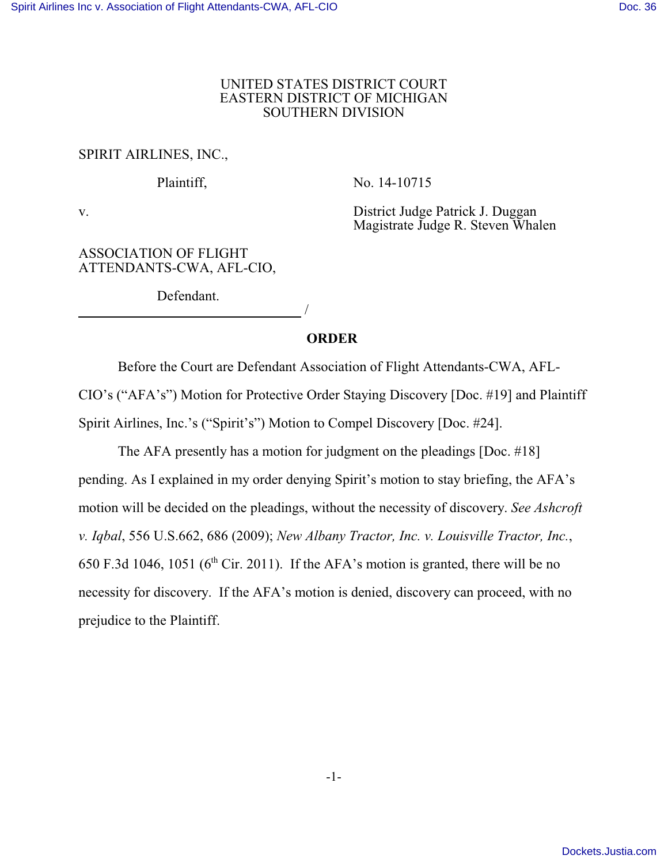#### UNITED STATES DISTRICT COURT EASTERN DISTRICT OF MICHIGAN SOUTHERN DIVISION

### SPIRIT AIRLINES, INC.,

Plaintiff, No. 14-10715

v. District Judge Patrick J. Duggan Magistrate Judge R. Steven Whalen

#### ASSOCIATION OF FLIGHT ATTENDANTS-CWA, AFL-CIO,

Defendant. /

## **ORDER**

Before the Court are Defendant Association of Flight Attendants-CWA, AFL-CIO's ("AFA's") Motion for Protective Order Staying Discovery [Doc. #19] and Plaintiff Spirit Airlines, Inc.'s ("Spirit's") Motion to Compel Discovery [Doc. #24].

The AFA presently has a motion for judgment on the pleadings [Doc. #18] pending. As I explained in my order denying Spirit's motion to stay briefing, the AFA's motion will be decided on the pleadings, without the necessity of discovery. *See Ashcroft v. Iqbal*, 556 U.S.662, 686 (2009); *New Albany Tractor, Inc. v. Louisville Tractor, Inc.*, 650 F.3d 1046, 1051 ( $6<sup>th</sup>$  Cir. 2011). If the AFA's motion is granted, there will be no necessity for discovery. If the AFA's motion is denied, discovery can proceed, with no prejudice to the Plaintiff.